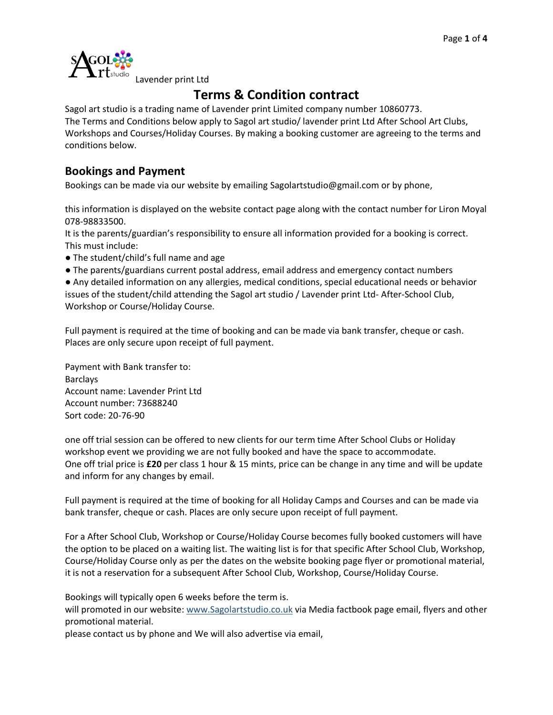

Lavender print Ltd

# **Terms & Condition contract**

Sagol art studio is a trading name of Lavender print Limited company number 10860773. The Terms and Conditions below apply to Sagol art studio/ lavender print Ltd After School Art Clubs, Workshops and Courses/Holiday Courses. By making a booking customer are agreeing to the terms and conditions below.

### **Bookings and Payment**

Bookings can be made via our website by emailing Sagolartstudio@gmail.com or by phone,

this information is displayed on the website contact page along with the contact number for Liron Moyal 078-98833500.

It is the parents/guardian's responsibility to ensure all information provided for a booking is correct. This must include:

- The student/child's full name and age
- The parents/guardians current postal address, email address and emergency contact numbers

● Any detailed information on any allergies, medical conditions, special educational needs or behavior issues of the student/child attending the Sagol art studio / Lavender print Ltd- After-School Club, Workshop or Course/Holiday Course.

Full payment is required at the time of booking and can be made via bank transfer, cheque or cash. Places are only secure upon receipt of full payment.

Payment with Bank transfer to: Barclays Account name: Lavender Print Ltd Account number: 73688240 Sort code: 20-76-90

one off trial session can be offered to new clients for our term time After School Clubs or Holiday workshop event we providing we are not fully booked and have the space to accommodate. One off trial price is **£20** per class 1 hour & 15 mints, price can be change in any time and will be update and inform for any changes by email.

Full payment is required at the time of booking for all Holiday Camps and Courses and can be made via bank transfer, cheque or cash. Places are only secure upon receipt of full payment.

For a After School Club, Workshop or Course/Holiday Course becomes fully booked customers will have the option to be placed on a waiting list. The waiting list is for that specific After School Club, Workshop, Course/Holiday Course only as per the dates on the website booking page flyer or promotional material, it is not a reservation for a subsequent After School Club, Workshop, Course/Holiday Course.

Bookings will typically open 6 weeks before the term is.

will promoted in our website: [www.Sagolartstudio.co.uk](http://www.sagolartstudio.co.uk/) via Media factbook page email, flyers and other promotional material.

please contact us by phone and We will also advertise via email,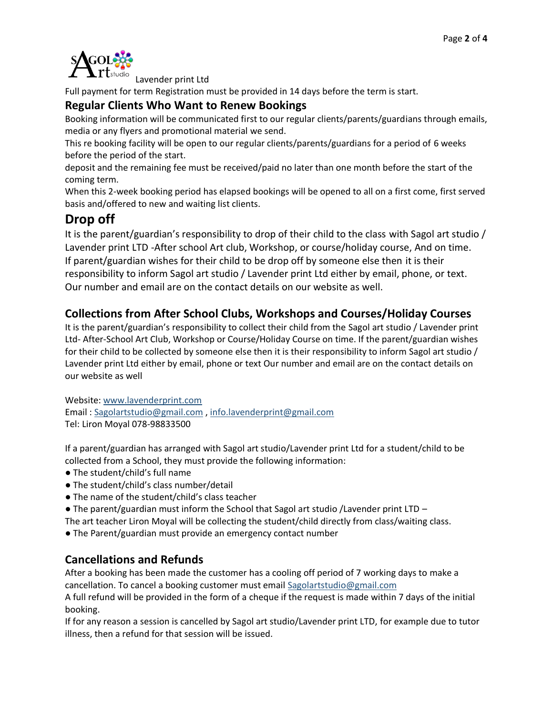

Lavender print Ltd

Full payment for term Registration must be provided in 14 days before the term is start.

#### **Regular Clients Who Want to Renew Bookings**

Booking information will be communicated first to our regular clients/parents/guardians through emails, media or any flyers and promotional material we send.

This re booking facility will be open to our regular clients/parents/guardians for a period of 6 weeks before the period of the start.

deposit and the remaining fee must be received/paid no later than one month before the start of the coming term.

When this 2-week booking period has elapsed bookings will be opened to all on a first come, first served basis and/offered to new and waiting list clients.

# **Drop off**

It is the parent/guardian's responsibility to drop of their child to the class with Sagol art studio / Lavender print LTD -After school Art club, Workshop, or course/holiday course, And on time. If parent/guardian wishes for their child to be drop off by someone else then it is their responsibility to inform Sagol art studio / Lavender print Ltd either by email, phone, or text. Our number and email are on the contact details on our website as well.

## **Collections from After School Clubs, Workshops and Courses/Holiday Courses**

It is the parent/guardian's responsibility to collect their child from the Sagol art studio / Lavender print Ltd- After-School Art Club, Workshop or Course/Holiday Course on time. If the parent/guardian wishes for their child to be collected by someone else then it is their responsibility to inform Sagol art studio / Lavender print Ltd either by email, phone or text Our number and email are on the contact details on our website as well

Website: [www.lavenderprint.com](http://www.lavenderprint.com/) Email : [Sagolartstudio@gmail.com](mailto:Sagolartstudio@gmail.com) [, info.lavenderprint@gmail.com](mailto:info.lavenderprint@gmail.com) Tel: Liron Moyal 078-98833500

If a parent/guardian has arranged with Sagol art studio/Lavender print Ltd for a student/child to be collected from a School, they must provide the following information:

- The student/child's full name
- The student/child's class number/detail
- The name of the student/child's class teacher
- $\bullet$  The parent/guardian must inform the School that Sagol art studio /Lavender print LTD –
- The art teacher Liron Moyal will be collecting the student/child directly from class/waiting class.

• The Parent/guardian must provide an emergency contact number

## **Cancellations and Refunds**

After a booking has been made the customer has a cooling off period of 7 working days to make a cancellation. To cancel a booking customer must email [Sagolartstudio@gmail.com](mailto:Sagolartstudio@gmail.com)

A full refund will be provided in the form of a cheque if the request is made within 7 days of the initial booking.

If for any reason a session is cancelled by Sagol art studio/Lavender print LTD, for example due to tutor illness, then a refund for that session will be issued.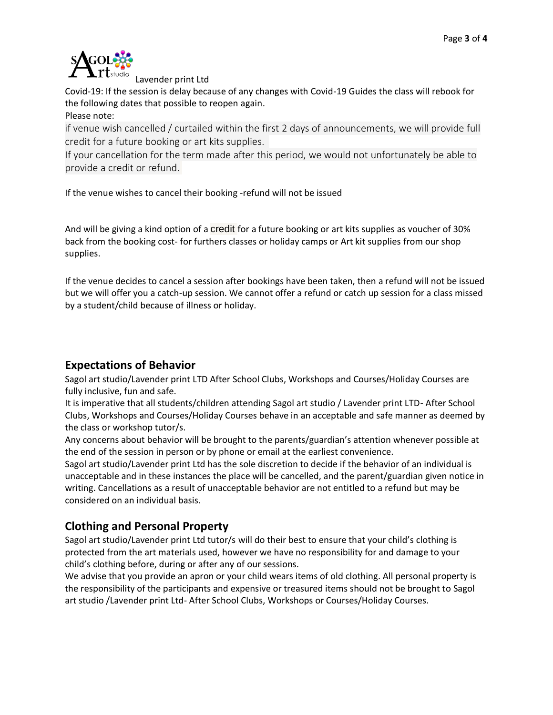

Lavender print Ltd

Covid-19: If the session is delay because of any changes with Covid-19 Guides the class will rebook for the following dates that possible to reopen again.

Please note:

if venue wish cancelled / curtailed within the first 2 days of announcements, we will provide full credit for a future booking or art kits supplies.

If your cancellation for the term made after this period, we would not unfortunately be able to provide a credit or refund.

If the venue wishes to cancel their booking -refund will not be issued

And will be giving a kind option of a credit for a future booking or art kits supplies as voucher of 30% back from the booking cost- for furthers classes or holiday camps or Art kit supplies from our shop supplies.

If the venue decides to cancel a session after bookings have been taken, then a refund will not be issued but we will offer you a catch-up session. We cannot offer a refund or catch up session for a class missed by a student/child because of illness or holiday.

## **Expectations of Behavior**

Sagol art studio/Lavender print LTD After School Clubs, Workshops and Courses/Holiday Courses are fully inclusive, fun and safe.

It is imperative that all students/children attending Sagol art studio / Lavender print LTD- After School Clubs, Workshops and Courses/Holiday Courses behave in an acceptable and safe manner as deemed by the class or workshop tutor/s.

Any concerns about behavior will be brought to the parents/guardian's attention whenever possible at the end of the session in person or by phone or email at the earliest convenience.

Sagol art studio/Lavender print Ltd has the sole discretion to decide if the behavior of an individual is unacceptable and in these instances the place will be cancelled, and the parent/guardian given notice in writing. Cancellations as a result of unacceptable behavior are not entitled to a refund but may be considered on an individual basis.

## **Clothing and Personal Property**

Sagol art studio/Lavender print Ltd tutor/s will do their best to ensure that your child's clothing is protected from the art materials used, however we have no responsibility for and damage to your child's clothing before, during or after any of our sessions.

We advise that you provide an apron or your child wears items of old clothing. All personal property is the responsibility of the participants and expensive or treasured items should not be brought to Sagol art studio /Lavender print Ltd- After School Clubs, Workshops or Courses/Holiday Courses.